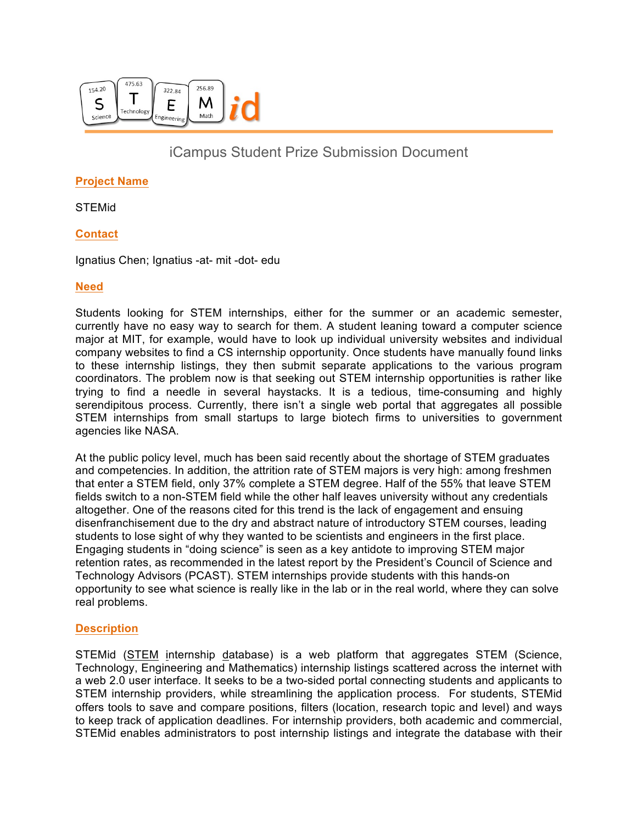

# iCampus Student Prize Submission Document

## **Project Name**

STEMid

## **Contact**

Ignatius Chen; Ignatius -at- mit -dot- edu

### **Need**

Students looking for STEM internships, either for the summer or an academic semester, currently have no easy way to search for them. A student leaning toward a computer science major at MIT, for example, would have to look up individual university websites and individual company websites to find a CS internship opportunity. Once students have manually found links to these internship listings, they then submit separate applications to the various program coordinators. The problem now is that seeking out STEM internship opportunities is rather like trying to find a needle in several haystacks. It is a tedious, time-consuming and highly serendipitous process. Currently, there isn't a single web portal that aggregates all possible STEM internships from small startups to large biotech firms to universities to government agencies like NASA.

At the public policy level, much has been said recently about the shortage of STEM graduates and competencies. In addition, the attrition rate of STEM majors is very high: among freshmen that enter a STEM field, only 37% complete a STEM degree. Half of the 55% that leave STEM fields switch to a non-STEM field while the other half leaves university without any credentials altogether. One of the reasons cited for this trend is the lack of engagement and ensuing disenfranchisement due to the dry and abstract nature of introductory STEM courses, leading students to lose sight of why they wanted to be scientists and engineers in the first place. Engaging students in "doing science" is seen as a key antidote to improving STEM major retention rates, as recommended in the latest report by the President's Council of Science and Technology Advisors (PCAST). STEM internships provide students with this hands-on opportunity to see what science is really like in the lab or in the real world, where they can solve real problems.

#### **Description**

STEMid (STEM internship database) is a web platform that aggregates STEM (Science, Technology, Engineering and Mathematics) internship listings scattered across the internet with a web 2.0 user interface. It seeks to be a two-sided portal connecting students and applicants to STEM internship providers, while streamlining the application process. For students, STEMid offers tools to save and compare positions, filters (location, research topic and level) and ways to keep track of application deadlines. For internship providers, both academic and commercial, STEMid enables administrators to post internship listings and integrate the database with their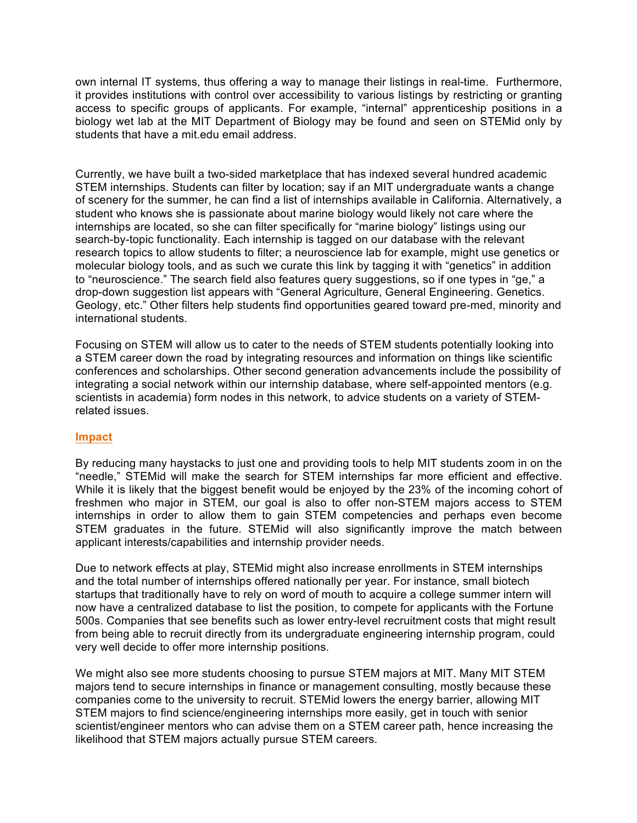own internal IT systems, thus offering a way to manage their listings in real-time. Furthermore, it provides institutions with control over accessibility to various listings by restricting or granting access to specific groups of applicants. For example, "internal" apprenticeship positions in a biology wet lab at the MIT Department of Biology may be found and seen on STEMid only by students that have a mit.edu email address.

Currently, we have built a two-sided marketplace that has indexed several hundred academic STEM internships. Students can filter by location; say if an MIT undergraduate wants a change of scenery for the summer, he can find a list of internships available in California. Alternatively, a student who knows she is passionate about marine biology would likely not care where the internships are located, so she can filter specifically for "marine biology" listings using our search-by-topic functionality. Each internship is tagged on our database with the relevant research topics to allow students to filter; a neuroscience lab for example, might use genetics or molecular biology tools, and as such we curate this link by tagging it with "genetics" in addition to "neuroscience." The search field also features query suggestions, so if one types in "ge," a drop-down suggestion list appears with "General Agriculture, General Engineering. Genetics. Geology, etc." Other filters help students find opportunities geared toward pre-med, minority and international students.

Focusing on STEM will allow us to cater to the needs of STEM students potentially looking into a STEM career down the road by integrating resources and information on things like scientific conferences and scholarships. Other second generation advancements include the possibility of integrating a social network within our internship database, where self-appointed mentors (e.g. scientists in academia) form nodes in this network, to advice students on a variety of STEMrelated issues.

#### **Impact**

By reducing many haystacks to just one and providing tools to help MIT students zoom in on the "needle," STEMid will make the search for STEM internships far more efficient and effective. While it is likely that the biggest benefit would be enjoyed by the 23% of the incoming cohort of freshmen who major in STEM, our goal is also to offer non-STEM majors access to STEM internships in order to allow them to gain STEM competencies and perhaps even become STEM graduates in the future. STEMid will also significantly improve the match between applicant interests/capabilities and internship provider needs.

Due to network effects at play, STEMid might also increase enrollments in STEM internships and the total number of internships offered nationally per year. For instance, small biotech startups that traditionally have to rely on word of mouth to acquire a college summer intern will now have a centralized database to list the position, to compete for applicants with the Fortune 500s. Companies that see benefits such as lower entry-level recruitment costs that might result from being able to recruit directly from its undergraduate engineering internship program, could very well decide to offer more internship positions.

We might also see more students choosing to pursue STEM majors at MIT. Many MIT STEM majors tend to secure internships in finance or management consulting, mostly because these companies come to the university to recruit. STEMid lowers the energy barrier, allowing MIT STEM majors to find science/engineering internships more easily, get in touch with senior scientist/engineer mentors who can advise them on a STEM career path, hence increasing the likelihood that STEM majors actually pursue STEM careers.